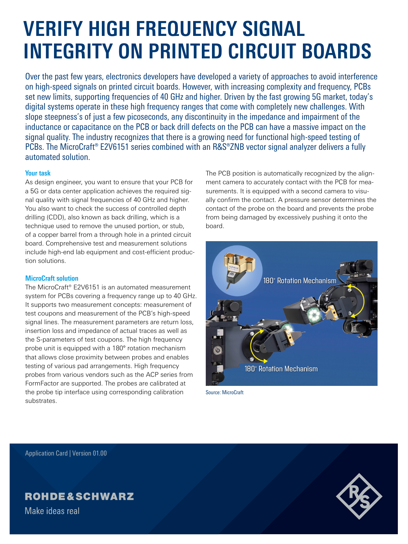# **VERIFY HIGH FREQUENCY SIGNAL INTEGRITY ON PRINTED CIRCUIT BOARDS**

Over the past few years, electronics developers have developed a variety of approaches to avoid interference on high-speed signals on printed circuit boards. However, with increasing complexity and frequency, PCBs set new limits, supporting frequencies of 40 GHz and higher. Driven by the fast growing 5G market, today's digital systems operate in these high frequency ranges that come with completely new challenges. With slope steepness's of just a few picoseconds, any discontinuity in the impedance and impairment of the inductance or capacitance on the PCB or back drill defects on the PCB can have a massive impact on the signal quality. The industry recognizes that there is a growing need for functional high-speed testing of PCBs. The MicroCraft® E2V6151 series combined with an R&S®ZNB vector signal analyzer delivers a fully automated solution.

### **Your task**

As design engineer, you want to ensure that your PCB for a 5G or data center application achieves the required signal quality with signal frequencies of 40 GHz and higher. You also want to check the success of controlled depth drilling (CDD), also known as back drilling, which is a technique used to remove the unused portion, or stub, of a copper barrel from a through hole in a printed circuit board. Comprehensive test and measurement solutions include high-end lab equipment and cost-efficient production solutions.

### **MicroCraft solution**

The MicroCraft® E2V6151 is an automated measurement system for PCBs covering a frequency range up to 40 GHz. It supports two measurement concepts: measurement of test coupons and measurement of the PCB's high-speed signal lines. The measurement parameters are return loss, insertion loss and impedance of actual traces as well as the S-parameters of test coupons. The high frequency probe unit is equipped with a 180° rotation mechanism that allows close proximity between probes and enables testing of various pad arrangements. High frequency probes from various vendors such as the ACP series from FormFactor are supported. The probes are calibrated at the probe tip interface using corresponding calibration substrates.

The PCB position is automatically recognized by the alignment camera to accurately contact with the PCB for measurements. It is equipped with a second camera to visually confirm the contact. A pressure sensor determines the contact of the probe on the board and prevents the probe from being damaged by excessively pushing it onto the board.



Source: MicroCraft

Application Card | Version 01.00

## **ROHDE&SCHWARZ**

Make ideas real